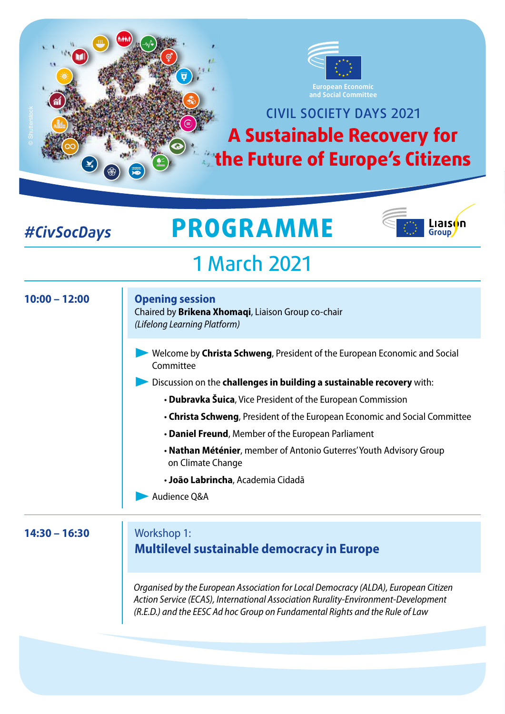

### CIVIL SOCIETY DAYS 2021 **A Sustainable Recovery for the Future of Europe's Citizens**

### *#CivSocDays*

# **PROGRAMME**



## 1 March 2021

#### **10:00 – 12:00 14:30 – 16:30 Opening session**  Chaired by **Brikena Xhomaqi**, Liaison Group co-chair *(Lifelong Learning Platform)* Workshop 1: **Multilevel sustainable democracy in Europe**  Welcome by **Christa Schweng**, President of the European Economic and Social Committee **Discussion on the challenges in building a sustainable recovery** with: • **Dubravka Šuica**, Vice President of the European Commission • **Christa Schweng**, President of the European Economic and Social Committee • **Daniel Freund**, Member of the European Parliament • **Nathan Méténier**, member of Antonio Guterres' Youth Advisory Group on Climate Change • **João Labrincha**, Academia Cidadã Audience Q&A *Organised by the European Association for Local Democracy (ALDA), European Citizen Action Service (ECAS), International Association Rurality-Environment-Development (R.E.D.) and the EESC Ad hoc Group on Fundamental Rights and the Rule of Law*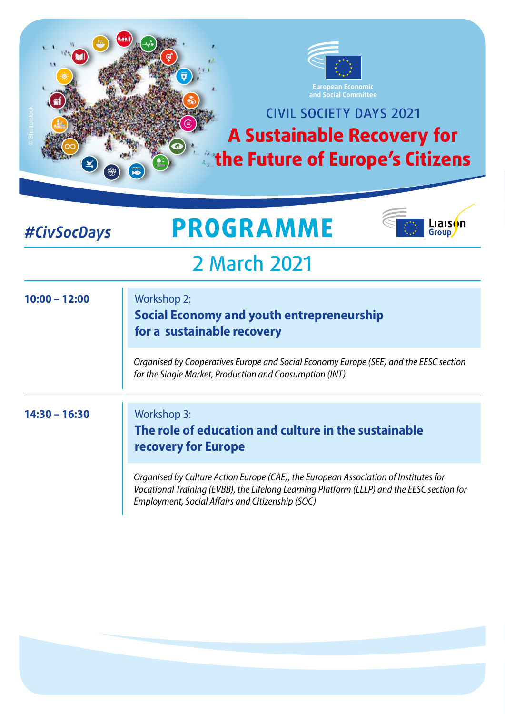

#### *#CivSocDays*

## **PROGRAMME**



## 2 March 2021

| $10:00 - 12:00$ | <b>Workshop 2:</b><br>Social Economy and youth entrepreneurship<br>for a sustainable recovery                                                                                                                                          |
|-----------------|----------------------------------------------------------------------------------------------------------------------------------------------------------------------------------------------------------------------------------------|
|                 | Organised by Cooperatives Europe and Social Economy Europe (SEE) and the EESC section<br>for the Single Market, Production and Consumption (INT)                                                                                       |
|                 |                                                                                                                                                                                                                                        |
| $14:30 - 16:30$ | <b>Workshop 3:</b><br>The role of education and culture in the sustainable<br>recovery for Europe                                                                                                                                      |
|                 | Organised by Culture Action Europe (CAE), the European Association of Institutes for<br>Vocational Training (EVBB), the Lifelong Learning Platform (LLLP) and the EESC section for<br>Employment, Social Affairs and Citizenship (SOC) |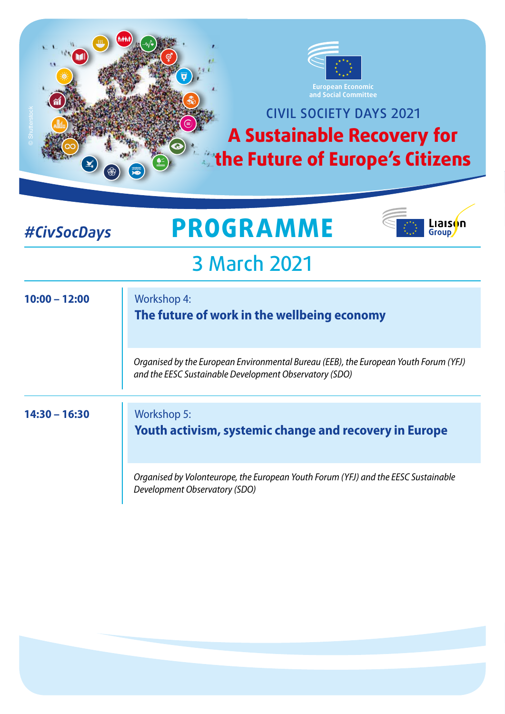

### *#CivSocDays*

## **PROGRAMME**



## 3 March 2021

| $10:00 - 12:00$ | <b>Workshop 4:</b><br>The future of work in the wellbeing economy                                                                              |
|-----------------|------------------------------------------------------------------------------------------------------------------------------------------------|
|                 | Organised by the European Environmental Bureau (EEB), the European Youth Forum (YFJ)<br>and the EESC Sustainable Development Observatory (SDO) |
| $14:30 - 16:30$ | <b>Workshop 5:</b><br><b>Youth activism, systemic change and recovery in Europe</b>                                                            |
|                 | Organised by Volonteurope, the European Youth Forum (YFJ) and the EESC Sustainable<br>Development Observatory (SDO)                            |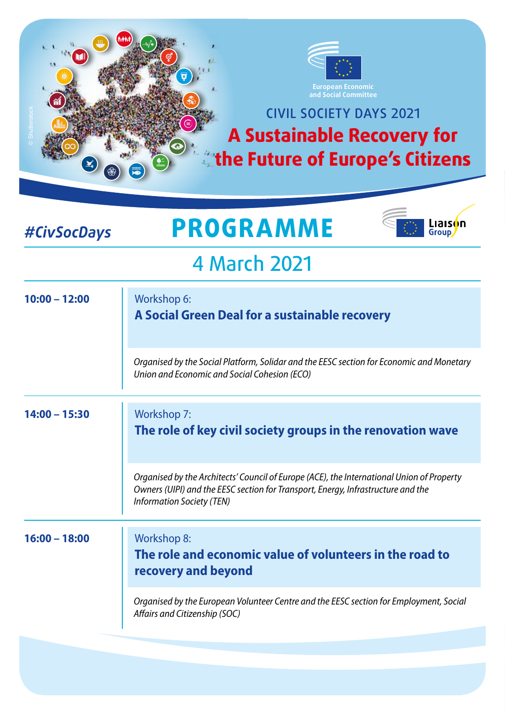

#### *#CivSocDays*

## **PROGRAMME**



## 4 March 2021

| $10:00 - 12:00$ | Workshop 6:<br>A Social Green Deal for a sustainable recovery                                                                                                                                                     |
|-----------------|-------------------------------------------------------------------------------------------------------------------------------------------------------------------------------------------------------------------|
|                 | Organised by the Social Platform, Solidar and the EESC section for Economic and Monetary<br>Union and Economic and Social Cohesion (ECO)                                                                          |
| $14:00 - 15:30$ | <b>Workshop 7:</b><br>The role of key civil society groups in the renovation wave                                                                                                                                 |
|                 | Organised by the Architects' Council of Europe (ACE), the International Union of Property<br>Owners (UIPI) and the EESC section for Transport, Energy, Infrastructure and the<br><b>Information Society (TEN)</b> |
| $16:00 - 18:00$ | <b>Workshop 8:</b><br>The role and economic value of volunteers in the road to<br>recovery and beyond                                                                                                             |
|                 | Organised by the European Volunteer Centre and the EESC section for Employment, Social<br>Affairs and Citizenship (SOC)                                                                                           |
|                 |                                                                                                                                                                                                                   |
|                 |                                                                                                                                                                                                                   |